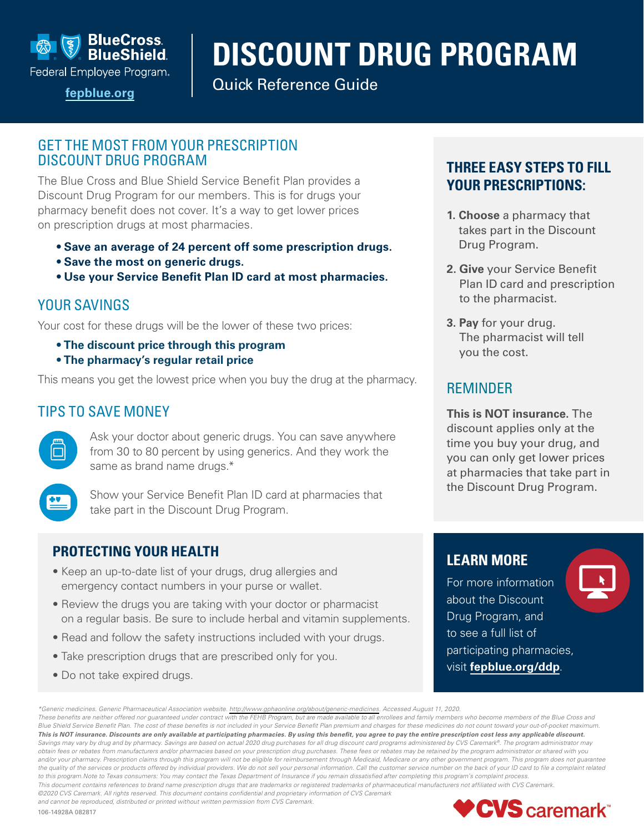

Federal Employee Program.

# **DISCOUNT DRUG PROGRAM**

Quick Reference Guide **[fepblue.org](https://www.fepblue.org/)**

### GET THE MOST FROM YOUR PRESCRIPTION DISCOUNT DRUG PROGRAM

The Blue Cross and Blue Shield Service Benefit Plan provides a Discount Drug Program for our members. This is for drugs your pharmacy benefit does not cover. It's a way to get lower prices on prescription drugs at most pharmacies.

- **Save an average of 24 percent off some prescription drugs.**
- **Save the most on generic drugs.**
- **Use your Service Benefit Plan ID card at most pharmacies.**

## YOUR SAVINGS

Your cost for these drugs will be the lower of these two prices:

- **The discount price through this program**
- **The pharmacy's regular retail price**

This means you get the lowest price when you buy the drug at the pharmacy.

## TIPS TO SAVE MONEY



Ask your doctor about generic drugs. You can save anywhere from 30 to 80 percent by using generics. And they work the same as brand name drugs.\*



Show your Service Benefit Plan ID card at pharmacies that take part in the Discount Drug Program.

### **PROTECTING YOUR HEALTH**

- Keep an up-to-date list of your drugs, drug allergies and emergency contact numbers in your purse or wallet.
- Review the drugs you are taking with your doctor or pharmacist on a regular basis. Be sure to include herbal and vitamin supplements.
- Read and follow the safety instructions included with your drugs.
- Take prescription drugs that are prescribed only for you.
- Do not take expired drugs.

## **THREE EASY STEPS TO FILL YOUR PRESCRIPTIONS:**

- **1. Choose** a pharmacy that takes part in the Discount Drug Program.
- **2. Give** your Service Benefit Plan ID card and prescription to the pharmacist.
- **3. Pay** for your drug. The pharmacist will tell you the cost.

## REMINDER

**This is NOT insurance.** The discount applies only at the time you buy your drug, and you can only get lower prices at pharmacies that take part in the Discount Drug Program.

## **LEARN MORE**

For more information about the Discount Drug Program, and to see a full list of participating pharmacies, visit **[fepblue.org/ddp](https://www.fepblue.org/pharmacy)**.

*\*Generic medicines. Generic Pharmaceutical Association website.<http://www.gphaonline.org/about/generic-medicines>. Accessed August 11, 2020. These benefits are neither offered nor guaranteed under contract with the FEHB Program, but are made available to all enrollees and family members who become members of the Blue Cross and Blue Shield Service Benefit Plan. The cost of these benefits is not included in your Service Benefit Plan premium and charges for these medicines do not count toward your out-of-pocket maximum. This is NOT insurance. Discounts are only available at participating pharmacies. By using this benefit, you agree to pay the entire prescription cost less any applicable discount. Savings may vary by drug and by pharmacy. Savings are based on actual 2020 drug purchases for all drug discount card programs administered by CVS Caremark®. The program administrator may obtain fees or rebates from manufacturers and/or pharmacies based on your prescription drug purchases. These fees or rebates may be retained by the program administrator or shared with you*  and/or your pharmacy. Prescription claims through this program will not be eligible for reimbursement through Medicaid, Medicare or any other government program. This program does not guarantee *the quality of the services or products offered by individual providers. We do not sell your personal information. Call the customer service number on the back of your ID card to file a complaint related to this program.Note to Texas consumers: You may contact the Texas Department of Insurance if you remain dissatisfied after completing this program's complaint process. This document contains references to brand name prescription drugs that are trademarks or registered trademarks of pharmaceutical manufacturers not affiliated with CVS Caremark. ©2020 CVS Caremark. All rights reserved. This document contains confidential and proprietary information of CVS Caremark* 

*and cannot be reproduced, distributed or printed without written permission from CVS Caremark.*